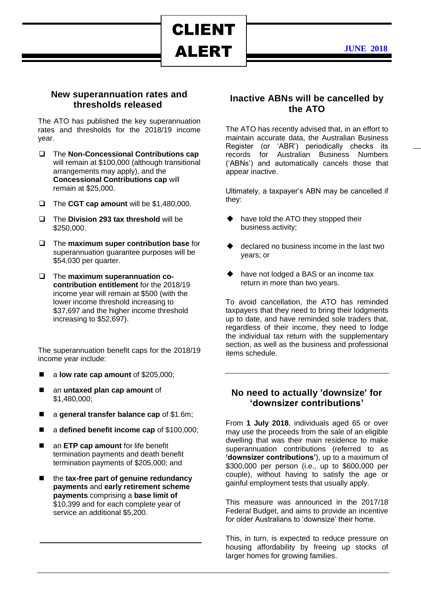ALERT

CLIENT

**JUNE 2018**

### **New superannuation rates and thresholds released**

The ATO has published the key superannuation rates and thresholds for the 2018/19 income year.

- The **Non-Concessional Contributions cap** will remain at \$100,000 (although transitional arrangements may apply), and the **Concessional Contributions cap** will remain at \$25,000.
- The **CGT cap amount** will be \$1,480,000.
- □ The **Division 293 tax threshold** will be \$250,000.
- The **maximum super contribution base** for superannuation guarantee purposes will be \$54,030 per quarter.
- The **maximum superannuation cocontribution entitlement** for the 2018/19 income year will remain at \$500 (with the lower income threshold increasing to \$37,697 and the higher income threshold increasing to \$52,697).

The superannuation benefit caps for the 2018/19 income year include:

- a **low rate cap amount** of \$205,000;
- an **untaxed plan cap amount** of \$1,480,000;
- a **general transfer balance cap** of \$1.6m;
- a defined benefit income cap of \$100,000;
- an **ETP cap amount** for life benefit termination payments and death benefit termination payments of \$205,000; and
- the **tax-free part of genuine redundancy payments** and **early retirement scheme payments** comprising a **base limit of**  \$10,399 and for each complete year of service an additional \$5,200.

# **Inactive ABNs will be cancelled by the ATO**

The ATO has recently advised that, in an effort to maintain accurate data, the Australian Business Register (or 'ABR') periodically checks its records for Australian Business Numbers ('ABNs') and automatically cancels those that appear inactive.

Ultimately, a taxpayer's ABN may be cancelled if they:

- have told the ATO they stopped their business activity;
- declared no business income in the last two years; or
- have not lodged a BAS or an income tax return in more than two years.

To avoid cancellation, the ATO has reminded taxpayers that they need to bring their lodgments up to date, and have reminded sole traders that, regardless of their income, they need to lodge the individual tax return with the supplementary section, as well as the business and professional items schedule.

### **No need to actually 'downsize' for 'downsizer contributions'**

From **1 July 2018**, individuals aged 65 or over may use the proceeds from the sale of an eligible dwelling that was their main residence to make superannuation contributions (referred to as **'downsizer contributions'**), up to a maximum of \$300,000 per person (i.e., up to \$600,000 per couple), without having to satisfy the age or gainful employment tests that usually apply.

This measure was announced in the 2017/18 Federal Budget, and aims to provide an incentive for older Australians to 'downsize' their home.

This, in turn, is expected to reduce pressure on housing affordability by freeing up stocks of larger homes for growing families.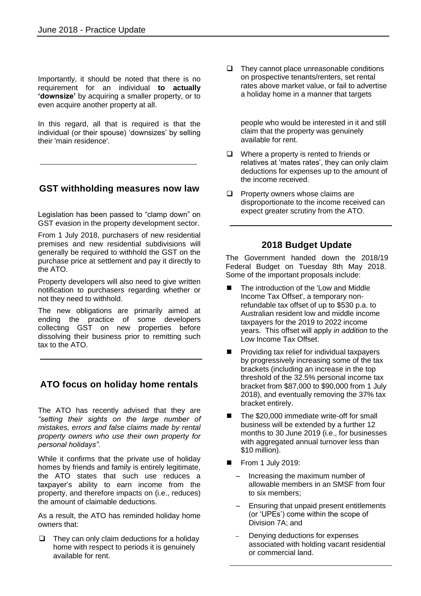Importantly, it should be noted that there is no requirement for an individual **to actually 'downsize'** by acquiring a smaller property, or to even acquire another property at all.

In this regard, all that is required is that the individual (or their spouse) 'downsizes' by selling their 'main residence'.

# **GST withholding measures now law**

Legislation has been passed to "clamp down" on GST evasion in the property development sector.

From 1 July 2018, purchasers of new residential premises and new residential subdivisions will generally be required to withhold the GST on the purchase price at settlement and pay it directly to the ATO.

Property developers will also need to give written notification to purchasers regarding whether or not they need to withhold.

The new obligations are primarily aimed at ending the practice of some developers collecting GST on new properties before dissolving their business prior to remitting such tax to the ATO.

# **ATO focus on holiday home rentals**

The ATO has recently advised that they are *"setting their sights on the large number of mistakes, errors and false claims made by rental property owners who use their own property for personal holidays"*.

While it confirms that the private use of holiday homes by friends and family is entirely legitimate, the ATO states that such use reduces a taxpayer's ability to earn income from the property, and therefore impacts on (i.e., reduces) the amount of claimable deductions.

As a result, the ATO has reminded holiday home owners that:

 $\Box$  They can only claim deductions for a holiday home with respect to periods it is genuinely available for rent.

 $\Box$  They cannot place unreasonable conditions on prospective tenants/renters, set rental rates above market value, or fail to advertise a holiday home in a manner that targets

 people who would be interested in it and still claim that the property was genuinely available for rent.

- $\Box$  Where a property is rented to friends or relatives at 'mates rates', they can only claim deductions for expenses up to the amount of the income received.
- $\Box$  Property owners whose claims are disproportionate to the income received can expect greater scrutiny from the ATO.

# **2018 Budget Update**

The Government handed down the 2018/19 Federal Budget on Tuesday 8th May 2018. Some of the important proposals include:

- The introduction of the 'Low and Middle Income Tax Offset', a temporary nonrefundable tax offset of up to \$530 p.a. to Australian resident low and middle income taxpayers for the 2019 to 2022 income years. This offset will apply *in addition* to the Low Income Tax Offset.
- Providing tax relief for individual taxpayers by progressively increasing some of the tax brackets (including an increase in the top threshold of the 32.5% personal income tax bracket from \$87,000 to \$90,000 from 1 July 2018), and eventually removing the 37% tax bracket entirely.
- The \$20,000 immediate write-off for small business will be extended by a further 12 months to 30 June 2019 (i.e., for businesses with aggregated annual turnover less than \$10 million).
- $\blacksquare$  From 1 July 2019:
	- Increasing the maximum number of allowable members in an SMSF from four to six members;
	- Ensuring that unpaid present entitlements (or 'UPEs') come within the scope of Division 7A; and
	- Denying deductions for expenses associated with holding vacant residential or commercial land.